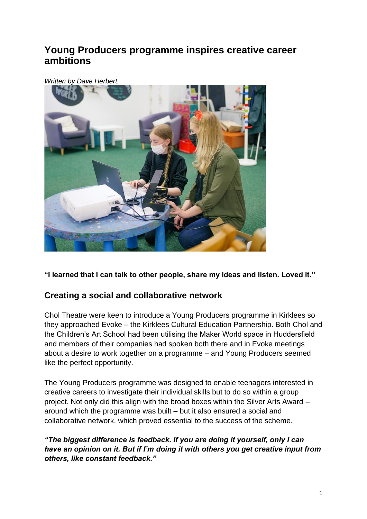# **Young Producers programme inspires creative career ambitions**

#### *Written by Dave Herbert.*



**"I learned that I can talk to other people, share my ideas and listen. Loved it."** 

# **Creating a social and collaborative network**

Chol Theatre were keen to introduce a Young Producers programme in Kirklees so they approached Evoke – the Kirklees Cultural Education Partnership. Both Chol and the Children's Art School had been utilising the Maker World space in Huddersfield and members of their companies had spoken both there and in Evoke meetings about a desire to work together on a programme – and Young Producers seemed like the perfect opportunity.

The Young Producers programme was designed to enable teenagers interested in creative careers to investigate their individual skills but to do so within a group project. Not only did this align with the broad boxes within the Silver Arts Award – around which the programme was built – but it also ensured a social and collaborative network, which proved essential to the success of the scheme.

*"The biggest difference is feedback. If you are doing it yourself, only I can have an opinion on it. But if I'm doing it with others you get creative input from others, like constant feedback."*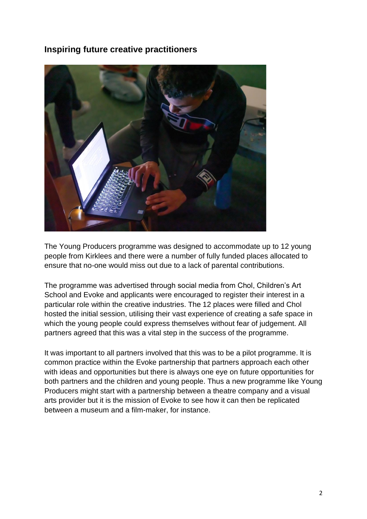# **Inspiring future creative practitioners**



The Young Producers programme was designed to accommodate up to 12 young people from Kirklees and there were a number of fully funded places allocated to ensure that no-one would miss out due to a lack of parental contributions.

The programme was advertised through social media from Chol, Children's Art School and Evoke and applicants were encouraged to register their interest in a particular role within the creative industries. The 12 places were filled and Chol hosted the initial session, utilising their vast experience of creating a safe space in which the young people could express themselves without fear of judgement. All partners agreed that this was a vital step in the success of the programme.

It was important to all partners involved that this was to be a pilot programme. It is common practice within the Evoke partnership that partners approach each other with ideas and opportunities but there is always one eye on future opportunities for both partners and the children and young people. Thus a new programme like Young Producers might start with a partnership between a theatre company and a visual arts provider but it is the mission of Evoke to see how it can then be replicated between a museum and a film-maker, for instance.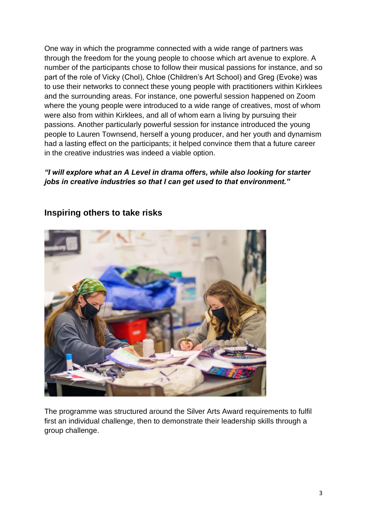One way in which the programme connected with a wide range of partners was through the freedom for the young people to choose which art avenue to explore. A number of the participants chose to follow their musical passions for instance, and so part of the role of Vicky (Chol), Chloe (Children's Art School) and Greg (Evoke) was to use their networks to connect these young people with practitioners within Kirklees and the surrounding areas. For instance, one powerful session happened on Zoom where the young people were introduced to a wide range of creatives, most of whom were also from within Kirklees, and all of whom earn a living by pursuing their passions. Another particularly powerful session for instance introduced the young people to Lauren Townsend, herself a young producer, and her youth and dynamism had a lasting effect on the participants; it helped convince them that a future career in the creative industries was indeed a viable option.

#### *"I will explore what an A Level in drama offers, while also looking for starter jobs in creative industries so that I can get used to that environment."*



### **Inspiring others to take risks**

The programme was structured around the Silver Arts Award requirements to fulfil first an individual challenge, then to demonstrate their leadership skills through a group challenge.